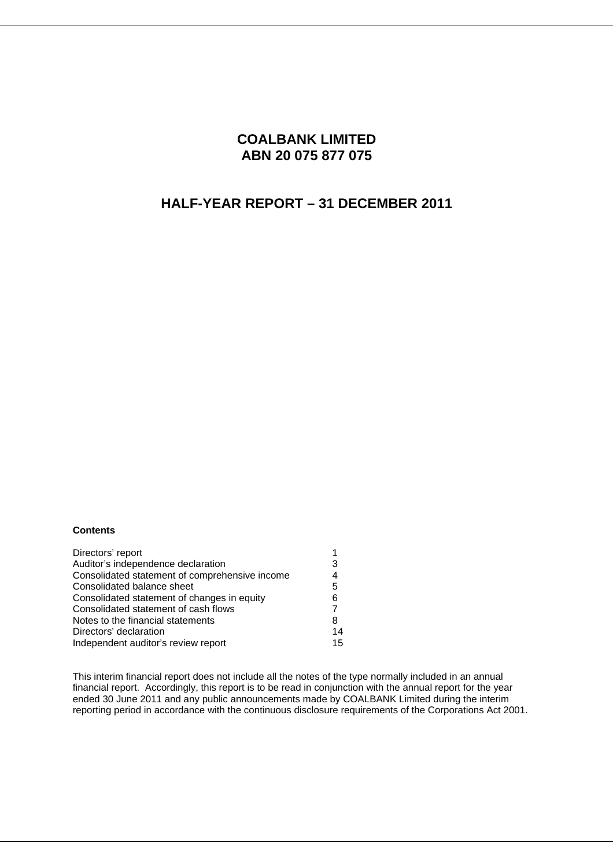## **COALBANK LIMITED ABN 20 075 877 075**

## **HALF-YEAR REPORT – 31 DECEMBER 2011**

#### **Contents**

| Directors' report                              |    |
|------------------------------------------------|----|
| Auditor's independence declaration             | 3  |
| Consolidated statement of comprehensive income | 4  |
| Consolidated balance sheet                     | 5  |
| Consolidated statement of changes in equity    | 6  |
| Consolidated statement of cash flows           |    |
| Notes to the financial statements              | 8  |
| Directors' declaration                         | 14 |
| Independent auditor's review report            | 15 |

This interim financial report does not include all the notes of the type normally included in an annual financial report. Accordingly, this report is to be read in conjunction with the annual report for the year ended 30 June 2011 and any public announcements made by COALBANK Limited during the interim reporting period in accordance with the continuous disclosure requirements of the Corporations Act 2001.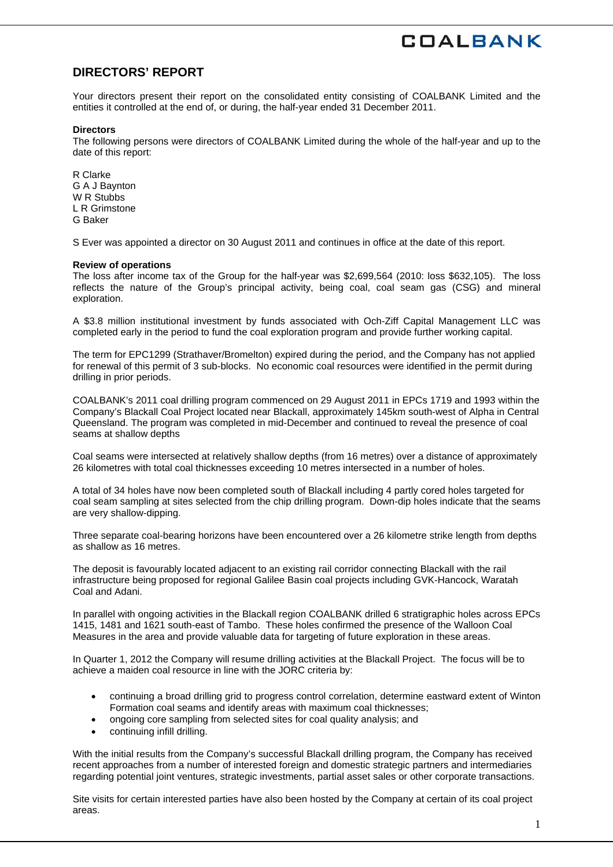## **DIRECTORS' REPORT**

Your directors present their report on the consolidated entity consisting of COALBANK Limited and the entities it controlled at the end of, or during, the half-year ended 31 December 2011.

#### **Directors**

The following persons were directors of COALBANK Limited during the whole of the half-year and up to the date of this report:

R Clarke G A J Baynton W<sub>R</sub> Stubbs L R Grimstone G Baker

S Ever was appointed a director on 30 August 2011 and continues in office at the date of this report.

#### **Review of operations**

The loss after income tax of the Group for the half-year was \$2,699,564 (2010: loss \$632,105). The loss reflects the nature of the Group's principal activity, being coal, coal seam gas (CSG) and mineral exploration.

A \$3.8 million institutional investment by funds associated with Och-Ziff Capital Management LLC was completed early in the period to fund the coal exploration program and provide further working capital.

The term for EPC1299 (Strathaver/Bromelton) expired during the period, and the Company has not applied for renewal of this permit of 3 sub-blocks. No economic coal resources were identified in the permit during drilling in prior periods.

COALBANK's 2011 coal drilling program commenced on 29 August 2011 in EPCs 1719 and 1993 within the Company's Blackall Coal Project located near Blackall, approximately 145km south-west of Alpha in Central Queensland. The program was completed in mid-December and continued to reveal the presence of coal seams at shallow depths

Coal seams were intersected at relatively shallow depths (from 16 metres) over a distance of approximately 26 kilometres with total coal thicknesses exceeding 10 metres intersected in a number of holes.

A total of 34 holes have now been completed south of Blackall including 4 partly cored holes targeted for coal seam sampling at sites selected from the chip drilling program. Down-dip holes indicate that the seams are very shallow-dipping.

Three separate coal-bearing horizons have been encountered over a 26 kilometre strike length from depths as shallow as 16 metres.

The deposit is favourably located adjacent to an existing rail corridor connecting Blackall with the rail infrastructure being proposed for regional Galilee Basin coal projects including GVK-Hancock, Waratah Coal and Adani.

In parallel with ongoing activities in the Blackall region COALBANK drilled 6 stratigraphic holes across EPCs 1415, 1481 and 1621 south-east of Tambo. These holes confirmed the presence of the Walloon Coal Measures in the area and provide valuable data for targeting of future exploration in these areas.

In Quarter 1, 2012 the Company will resume drilling activities at the Blackall Project. The focus will be to achieve a maiden coal resource in line with the JORC criteria by:

- continuing a broad drilling grid to progress control correlation, determine eastward extent of Winton Formation coal seams and identify areas with maximum coal thicknesses;
- ongoing core sampling from selected sites for coal quality analysis; and
- continuing infill drilling.

With the initial results from the Company's successful Blackall drilling program, the Company has received recent approaches from a number of interested foreign and domestic strategic partners and intermediaries regarding potential joint ventures, strategic investments, partial asset sales or other corporate transactions.

Site visits for certain interested parties have also been hosted by the Company at certain of its coal project areas.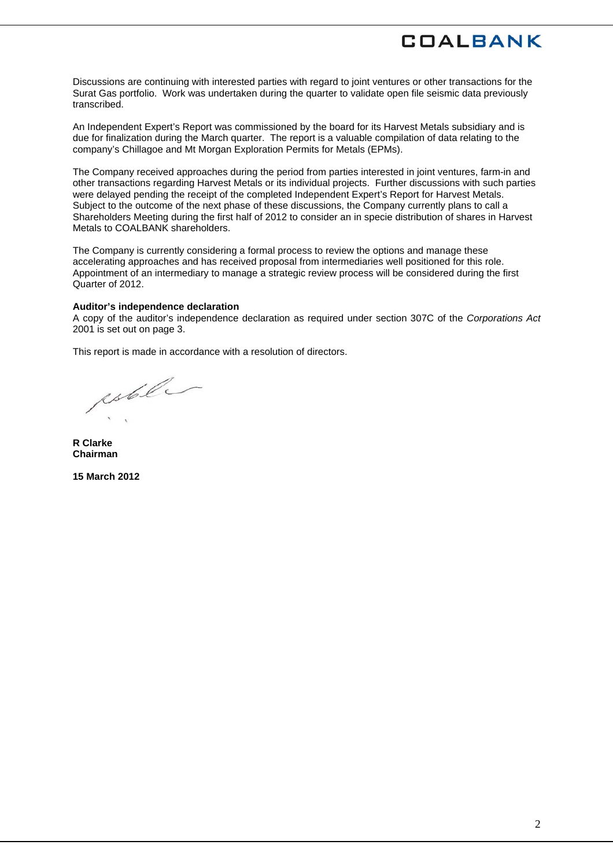Discussions are continuing with interested parties with regard to joint ventures or other transactions for the Surat Gas portfolio. Work was undertaken during the quarter to validate open file seismic data previously transcribed.

An Independent Expert's Report was commissioned by the board for its Harvest Metals subsidiary and is due for finalization during the March quarter. The report is a valuable compilation of data relating to the company's Chillagoe and Mt Morgan Exploration Permits for Metals (EPMs).

The Company received approaches during the period from parties interested in joint ventures, farm-in and other transactions regarding Harvest Metals or its individual projects. Further discussions with such parties were delayed pending the receipt of the completed Independent Expert's Report for Harvest Metals. Subject to the outcome of the next phase of these discussions, the Company currently plans to call a Shareholders Meeting during the first half of 2012 to consider an in specie distribution of shares in Harvest Metals to COALBANK shareholders.

The Company is currently considering a formal process to review the options and manage these accelerating approaches and has received proposal from intermediaries well positioned for this role. Appointment of an intermediary to manage a strategic review process will be considered during the first Quarter of 2012.

#### **Auditor's independence declaration**

A copy of the auditor's independence declaration as required under section 307C of the *Corporations Act*  2001 is set out on page 3.

This report is made in accordance with a resolution of directors.

estel

**R Clarke Chairman** 

**15 March 2012**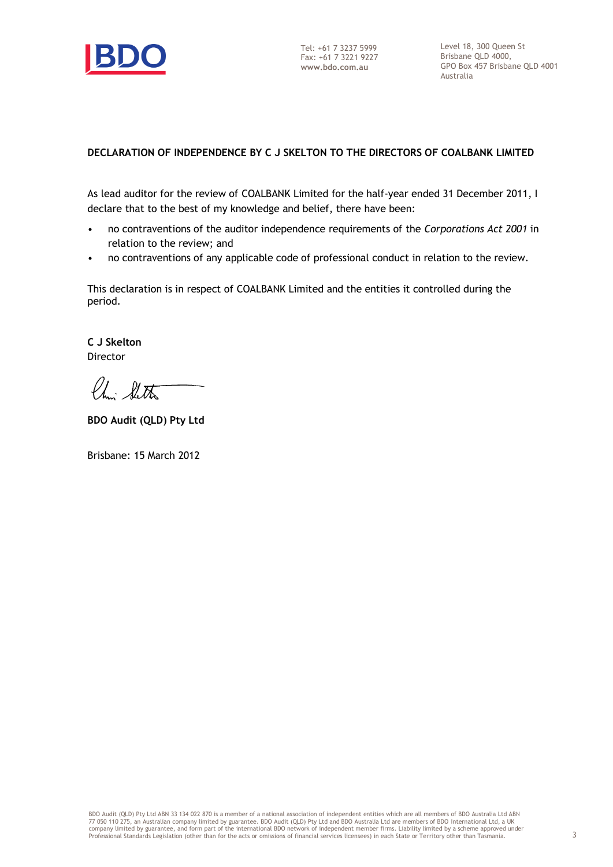

### **DECLARATION OF INDEPENDENCE BY C J SKELTON TO THE DIRECTORS OF COALBANK LIMITED**

As lead auditor for the review of COALBANK Limited for the half-year ended 31 December 2011, I declare that to the best of my knowledge and belief, there have been:

- no contraventions of the auditor independence requirements of the *Corporations Act 2001* in relation to the review; and
- no contraventions of any applicable code of professional conduct in relation to the review.

This declaration is in respect of COALBANK Limited and the entities it controlled during the period.

**C J Skelton** Director

Chi Shitta

**BDO Audit (QLD) Pty Ltd**

Brisbane: 15 March 2012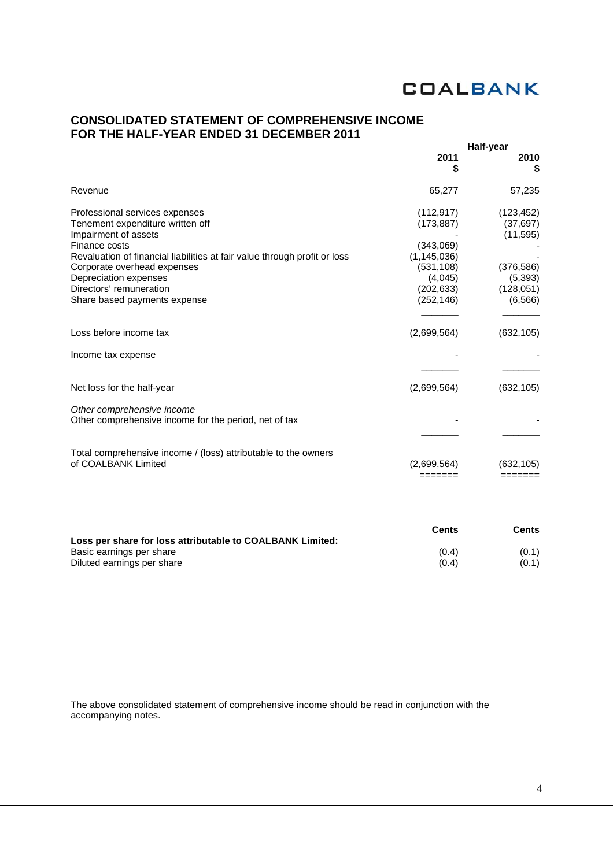## **CONSOLIDATED STATEMENT OF COMPREHENSIVE INCOME FOR THE HALF-YEAR ENDED 31 DECEMBER 2011**

|                                                                                                                                                                                                                                                                                                             | Half-year                                                                                                   |                                                                                          |
|-------------------------------------------------------------------------------------------------------------------------------------------------------------------------------------------------------------------------------------------------------------------------------------------------------------|-------------------------------------------------------------------------------------------------------------|------------------------------------------------------------------------------------------|
|                                                                                                                                                                                                                                                                                                             | 2011<br>S                                                                                                   | 2010<br>S                                                                                |
| Revenue                                                                                                                                                                                                                                                                                                     | 65,277                                                                                                      | 57,235                                                                                   |
| Professional services expenses<br>Tenement expenditure written off<br>Impairment of assets<br>Finance costs<br>Revaluation of financial liabilities at fair value through profit or loss<br>Corporate overhead expenses<br>Depreciation expenses<br>Directors' remuneration<br>Share based payments expense | (112, 917)<br>(173, 887)<br>(343,069)<br>(1, 145, 036)<br>(531, 108)<br>(4,045)<br>(202, 633)<br>(252, 146) | (123, 452)<br>(37, 697)<br>(11, 595)<br>(376, 586)<br>(5, 393)<br>(128, 051)<br>(6, 566) |
| Loss before income tax                                                                                                                                                                                                                                                                                      | (2,699,564)                                                                                                 | (632, 105)                                                                               |
| Income tax expense                                                                                                                                                                                                                                                                                          |                                                                                                             |                                                                                          |
| Net loss for the half-year                                                                                                                                                                                                                                                                                  | (2,699,564)                                                                                                 | (632, 105)                                                                               |
| Other comprehensive income<br>Other comprehensive income for the period, net of tax                                                                                                                                                                                                                         |                                                                                                             |                                                                                          |
| Total comprehensive income / (loss) attributable to the owners<br>of COALBANK Limited                                                                                                                                                                                                                       | (2,699,564)                                                                                                 | (632.105)                                                                                |

|                                                           | <b>Cents</b> | Cents |
|-----------------------------------------------------------|--------------|-------|
| Loss per share for loss attributable to COALBANK Limited: |              |       |
| Basic earnings per share                                  | (0.4)        | (0.1) |
| Diluted earnings per share                                | (0.4)        | (0.1) |

The above consolidated statement of comprehensive income should be read in conjunction with the accompanying notes.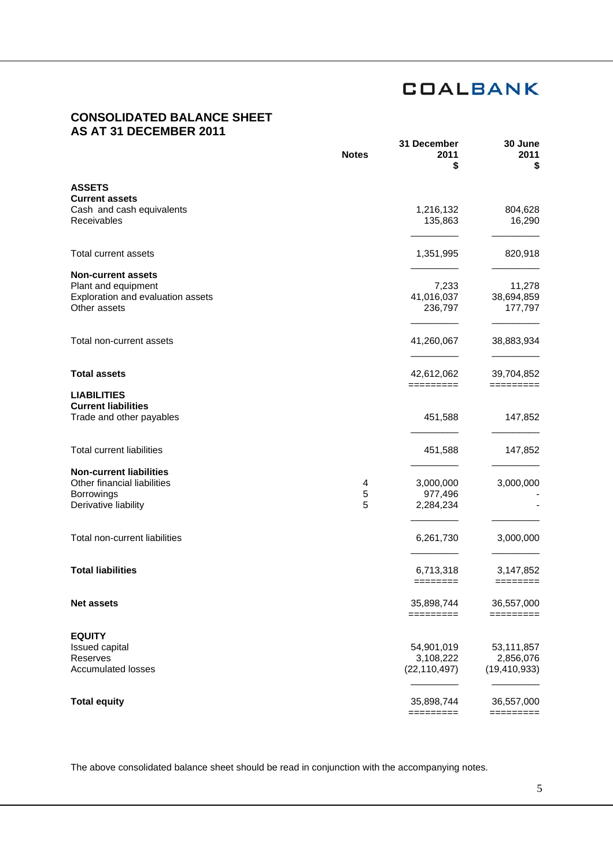## **CONSOLIDATED BALANCE SHEET AS AT 31 DECEMBER 2011**

|                                                    | <b>Notes</b> | 31 December<br>2011<br>\$ | 30 June<br>2011<br>5            |
|----------------------------------------------------|--------------|---------------------------|---------------------------------|
| <b>ASSETS</b>                                      |              |                           |                                 |
| <b>Current assets</b><br>Cash and cash equivalents |              | 1,216,132                 | 804,628                         |
| Receivables                                        |              | 135,863                   | 16,290                          |
| <b>Total current assets</b>                        |              | 1,351,995                 | 820,918                         |
| <b>Non-current assets</b>                          |              |                           |                                 |
| Plant and equipment                                |              | 7,233                     | 11,278                          |
| Exploration and evaluation assets<br>Other assets  |              | 41,016,037<br>236,797     | 38,694,859<br>177,797           |
| Total non-current assets                           |              | 41,260,067                | 38,883,934                      |
|                                                    |              |                           |                                 |
| <b>Total assets</b>                                |              | 42,612,062                | 39,704,852                      |
| <b>LIABILITIES</b>                                 |              | =========                 | =========                       |
| <b>Current liabilities</b>                         |              |                           |                                 |
| Trade and other payables                           |              | 451,588                   | 147,852                         |
| <b>Total current liabilities</b>                   |              | 451,588                   | 147,852                         |
| <b>Non-current liabilities</b>                     |              |                           |                                 |
| Other financial liabilities                        | 4            | 3,000,000                 | 3,000,000                       |
| Borrowings                                         | 5            | 977,496                   |                                 |
| Derivative liability                               | 5            | 2,284,234                 |                                 |
| Total non-current liabilities                      |              | 6,261,730                 | 3,000,000                       |
| <b>Total liabilities</b>                           |              | 6,713,318                 | 3,147,852                       |
|                                                    |              | ========                  | $=$ $=$ $=$ $=$ $=$ $=$ $=$ $=$ |
| <b>Net assets</b>                                  |              | 35,898,744<br>=========   | 36,557,000<br>=========         |
| <b>EQUITY</b>                                      |              |                           |                                 |
| <b>Issued capital</b>                              |              | 54,901,019                | 53,111,857                      |
| Reserves                                           |              | 3,108,222                 | 2,856,076                       |
| <b>Accumulated losses</b>                          |              | (22, 110, 497)            | (19, 410, 933)                  |
| <b>Total equity</b>                                |              | 35,898,744                | 36,557,000                      |
|                                                    |              | =========                 | =========                       |

The above consolidated balance sheet should be read in conjunction with the accompanying notes.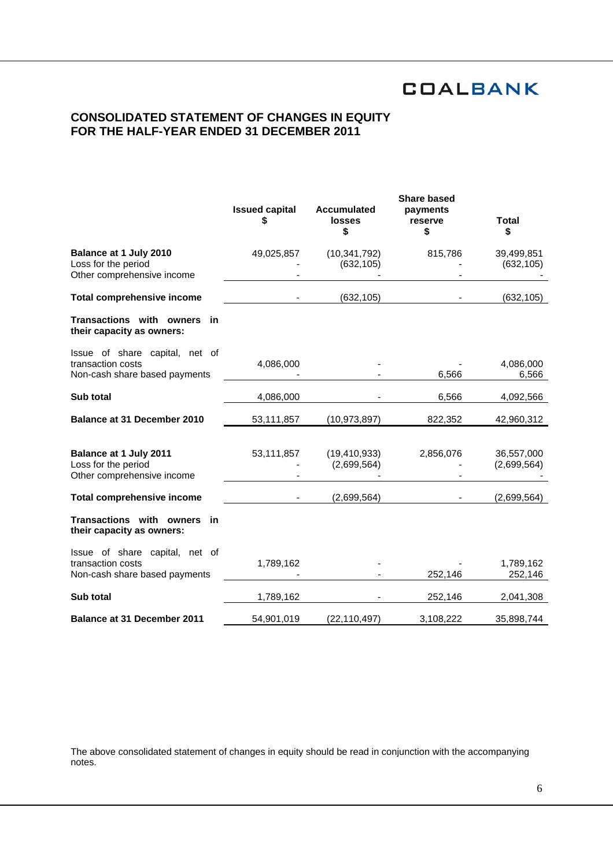## **CONSOLIDATED STATEMENT OF CHANGES IN EQUITY FOR THE HALF-YEAR ENDED 31 DECEMBER 2011**

|                                                                                      | <b>Issued capital</b><br>\$ | <b>Accumulated</b><br><b>losses</b><br>\$ | <b>Share based</b><br>payments<br>reserve<br>\$ | <b>Total</b><br>\$        |
|--------------------------------------------------------------------------------------|-----------------------------|-------------------------------------------|-------------------------------------------------|---------------------------|
| Balance at 1 July 2010<br>Loss for the period<br>Other comprehensive income          | 49,025,857                  | (10, 341, 792)<br>(632, 105)              | 815,786                                         | 39,499,851<br>(632, 105)  |
| <b>Total comprehensive income</b>                                                    |                             | (632, 105)                                |                                                 | (632, 105)                |
| Transactions with owners<br>in<br>their capacity as owners:                          |                             |                                           |                                                 |                           |
| Issue of share capital, net of<br>transaction costs<br>Non-cash share based payments | 4,086,000                   |                                           | 6,566                                           | 4,086,000<br>6,566        |
| Sub total                                                                            | 4,086,000                   |                                           | 6,566                                           | 4,092,566                 |
| <b>Balance at 31 December 2010</b>                                                   | 53,111,857                  | (10, 973, 897)                            | 822,352                                         | 42,960,312                |
| Balance at 1 July 2011<br>Loss for the period<br>Other comprehensive income          | 53,111,857                  | (19, 410, 933)<br>(2,699,564)             | 2,856,076                                       | 36,557,000<br>(2,699,564) |
| <b>Total comprehensive income</b>                                                    |                             | (2,699,564)                               |                                                 | (2,699,564)               |
| Transactions with owners<br>in<br>their capacity as owners:                          |                             |                                           |                                                 |                           |
| Issue of share capital, net of<br>transaction costs<br>Non-cash share based payments | 1,789,162                   |                                           | 252,146                                         | 1,789,162<br>252,146      |
| Sub total                                                                            | 1,789,162                   |                                           | 252,146                                         | 2,041,308                 |
| <b>Balance at 31 December 2011</b>                                                   | 54,901,019                  | (22, 110, 497)                            | 3,108,222                                       | 35,898,744                |

The above consolidated statement of changes in equity should be read in conjunction with the accompanying notes.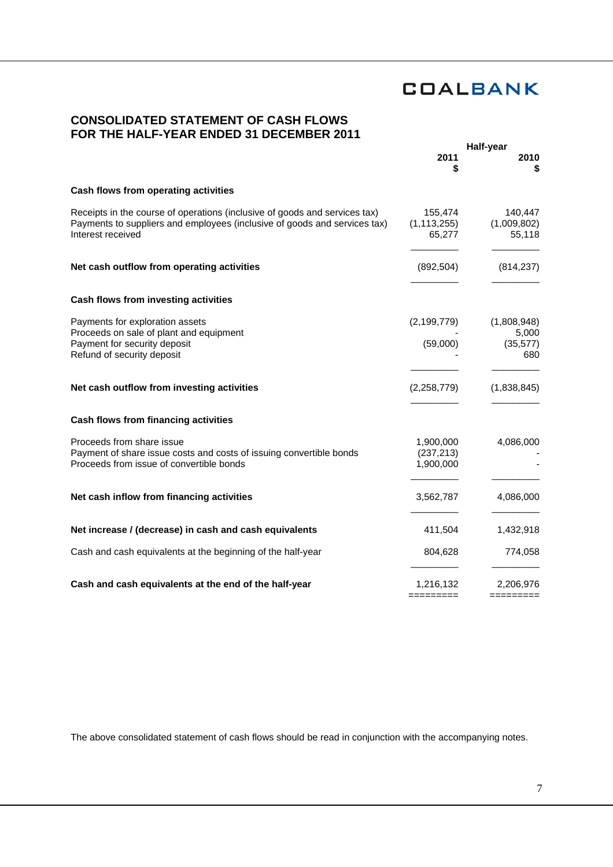## **CONSOLIDATED STATEMENT OF CASH FLOWS FOR THE HALF-YEAR ENDED 31 DECEMBER 2011**

|                                                                                                                                                                              | Half-year                            |                                          |
|------------------------------------------------------------------------------------------------------------------------------------------------------------------------------|--------------------------------------|------------------------------------------|
|                                                                                                                                                                              | 2011<br>\$                           | 2010                                     |
| Cash flows from operating activities                                                                                                                                         |                                      |                                          |
| Receipts in the course of operations (inclusive of goods and services tax)<br>Payments to suppliers and employees (inclusive of goods and services tax)<br>Interest received | 155,474<br>(1, 113, 255)<br>65,277   | 140,447<br>(1,009,802)<br>55,118         |
| Net cash outflow from operating activities                                                                                                                                   | (892, 504)                           | (814, 237)                               |
| Cash flows from investing activities                                                                                                                                         |                                      |                                          |
| Payments for exploration assets<br>Proceeds on sale of plant and equipment<br>Payment for security deposit<br>Refund of security deposit                                     | (2, 199, 779)<br>(59,000)            | (1,808,948)<br>5,000<br>(35, 577)<br>680 |
| Net cash outflow from investing activities                                                                                                                                   | (2,258,779)                          | (1,838,845)                              |
| Cash flows from financing activities                                                                                                                                         |                                      |                                          |
| Proceeds from share issue<br>Payment of share issue costs and costs of issuing convertible bonds<br>Proceeds from issue of convertible bonds                                 | 1,900,000<br>(237, 213)<br>1,900,000 | 4,086,000                                |
| Net cash inflow from financing activities                                                                                                                                    | 3,562,787                            | 4,086,000                                |
| Net increase / (decrease) in cash and cash equivalents                                                                                                                       | 411,504                              | 1,432,918                                |
| Cash and cash equivalents at the beginning of the half-year                                                                                                                  | 804,628                              | 774,058                                  |
| Cash and cash equivalents at the end of the half-year                                                                                                                        | 1,216,132<br>=======                 | 2,206,976<br>=======                     |

The above consolidated statement of cash flows should be read in conjunction with the accompanying notes.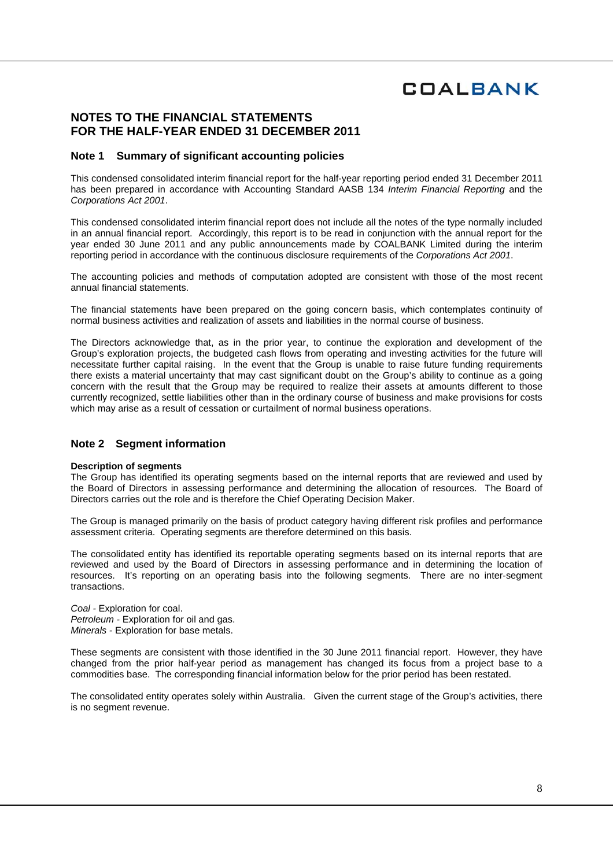### **NOTES TO THE FINANCIAL STATEMENTS FOR THE HALF-YEAR ENDED 31 DECEMBER 2011**

#### **Note 1 Summary of significant accounting policies**

This condensed consolidated interim financial report for the half-year reporting period ended 31 December 2011 has been prepared in accordance with Accounting Standard AASB 134 *Interim Financial Reporting* and the *Corporations Act 2001*.

This condensed consolidated interim financial report does not include all the notes of the type normally included in an annual financial report. Accordingly, this report is to be read in conjunction with the annual report for the year ended 30 June 2011 and any public announcements made by COALBANK Limited during the interim reporting period in accordance with the continuous disclosure requirements of the *Corporations Act 2001*.

The accounting policies and methods of computation adopted are consistent with those of the most recent annual financial statements.

The financial statements have been prepared on the going concern basis, which contemplates continuity of normal business activities and realization of assets and liabilities in the normal course of business.

The Directors acknowledge that, as in the prior year, to continue the exploration and development of the Group's exploration projects, the budgeted cash flows from operating and investing activities for the future will necessitate further capital raising. In the event that the Group is unable to raise future funding requirements there exists a material uncertainty that may cast significant doubt on the Group's ability to continue as a going concern with the result that the Group may be required to realize their assets at amounts different to those currently recognized, settle liabilities other than in the ordinary course of business and make provisions for costs which may arise as a result of cessation or curtailment of normal business operations.

### **Note 2 Segment information**

#### **Description of segments**

The Group has identified its operating segments based on the internal reports that are reviewed and used by the Board of Directors in assessing performance and determining the allocation of resources. The Board of Directors carries out the role and is therefore the Chief Operating Decision Maker.

The Group is managed primarily on the basis of product category having different risk profiles and performance assessment criteria. Operating segments are therefore determined on this basis.

The consolidated entity has identified its reportable operating segments based on its internal reports that are reviewed and used by the Board of Directors in assessing performance and in determining the location of resources. It's reporting on an operating basis into the following segments. There are no inter-segment transactions.

*Coal -* Exploration for coal. *Petroleum -* Exploration for oil and gas. *Minerals -* Exploration for base metals.

These segments are consistent with those identified in the 30 June 2011 financial report. However, they have changed from the prior half-year period as management has changed its focus from a project base to a commodities base. The corresponding financial information below for the prior period has been restated.

The consolidated entity operates solely within Australia. Given the current stage of the Group's activities, there is no segment revenue.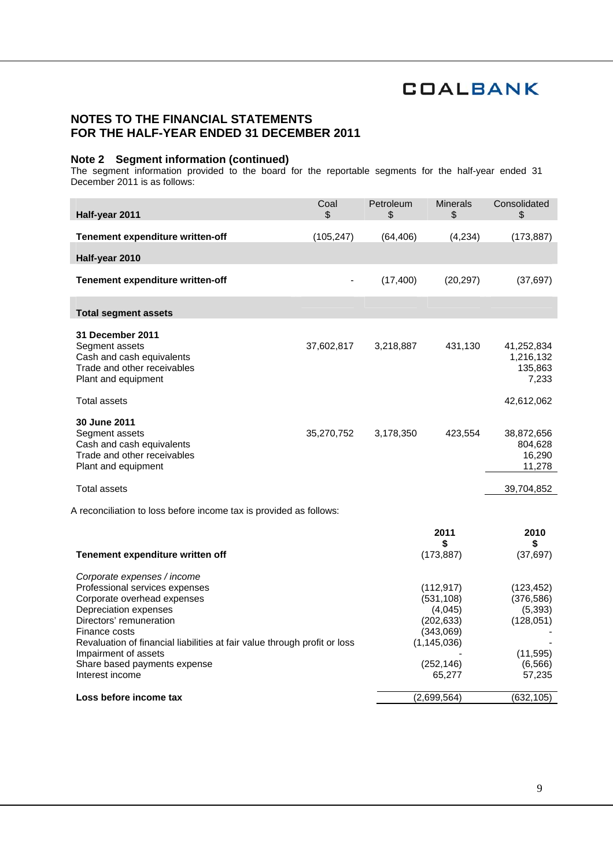## **NOTES TO THE FINANCIAL STATEMENTS FOR THE HALF-YEAR ENDED 31 DECEMBER 2011**

### **Note 2 Segment information (continued)**

The segment information provided to the board for the reportable segments for the half-year ended 31 December 2011 is as follows:

| Half-year 2011                                                                                                                                                                                                                                                                                                            | Coal<br>\$     | Petroleum<br>\$ | <b>Minerals</b><br>\$                                                                                   | Consolidated<br>\$                                                                   |
|---------------------------------------------------------------------------------------------------------------------------------------------------------------------------------------------------------------------------------------------------------------------------------------------------------------------------|----------------|-----------------|---------------------------------------------------------------------------------------------------------|--------------------------------------------------------------------------------------|
| Tenement expenditure written-off                                                                                                                                                                                                                                                                                          | (105, 247)     | (64, 406)       | (4,234)                                                                                                 | (173, 887)                                                                           |
| Half-year 2010                                                                                                                                                                                                                                                                                                            |                |                 |                                                                                                         |                                                                                      |
| Tenement expenditure written-off                                                                                                                                                                                                                                                                                          | $\blacksquare$ | (17, 400)       | (20, 297)                                                                                               | (37, 697)                                                                            |
| <b>Total segment assets</b>                                                                                                                                                                                                                                                                                               |                |                 |                                                                                                         |                                                                                      |
| 31 December 2011<br>Segment assets<br>Cash and cash equivalents<br>Trade and other receivables<br>Plant and equipment                                                                                                                                                                                                     | 37,602,817     | 3,218,887       | 431,130                                                                                                 | 41,252,834<br>1,216,132<br>135,863<br>7,233                                          |
| <b>Total assets</b>                                                                                                                                                                                                                                                                                                       |                |                 |                                                                                                         | 42,612,062                                                                           |
| 30 June 2011<br>Segment assets<br>Cash and cash equivalents<br>Trade and other receivables<br>Plant and equipment                                                                                                                                                                                                         | 35,270,752     | 3,178,350       | 423,554                                                                                                 | 38,872,656<br>804,628<br>16,290<br>11,278                                            |
| <b>Total assets</b>                                                                                                                                                                                                                                                                                                       |                |                 |                                                                                                         | 39,704,852                                                                           |
| A reconciliation to loss before income tax is provided as follows:                                                                                                                                                                                                                                                        |                |                 |                                                                                                         |                                                                                      |
|                                                                                                                                                                                                                                                                                                                           |                |                 | 2011                                                                                                    | 2010                                                                                 |
| Tenement expenditure written off                                                                                                                                                                                                                                                                                          |                |                 | \$<br>(173, 887)                                                                                        | (37, 697)                                                                            |
| Corporate expenses / income<br>Professional services expenses<br>Corporate overhead expenses<br>Depreciation expenses<br>Directors' remuneration<br>Finance costs<br>Revaluation of financial liabilities at fair value through profit or loss<br>Impairment of assets<br>Share based payments expense<br>Interest income |                |                 | (112, 917)<br>(531, 108)<br>(4,045)<br>(202, 633)<br>(343,069)<br>(1, 145, 036)<br>(252, 146)<br>65,277 | (123, 452)<br>(376, 586)<br>(5,393)<br>(128, 051)<br>(11, 595)<br>(6, 566)<br>57,235 |
| Loss before income tax                                                                                                                                                                                                                                                                                                    |                |                 | (2,699,564)                                                                                             | (632, 105)                                                                           |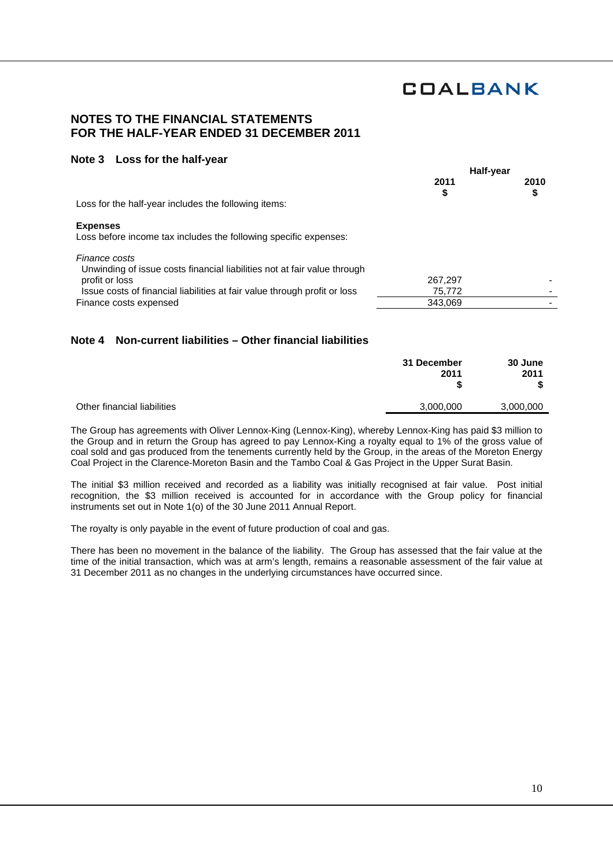### **NOTES TO THE FINANCIAL STATEMENTS FOR THE HALF-YEAR ENDED 31 DECEMBER 2011**

#### **Note 3 Loss for the half-year**

|                                                                                           | Half-year  |            |
|-------------------------------------------------------------------------------------------|------------|------------|
|                                                                                           | 2011<br>\$ | 2010<br>\$ |
| Loss for the half-year includes the following items:                                      |            |            |
| <b>Expenses</b><br>Loss before income tax includes the following specific expenses:       |            |            |
| Finance costs<br>Unwinding of issue costs financial liabilities not at fair value through |            |            |
| profit or loss                                                                            | 267,297    |            |
| Issue costs of financial liabilities at fair value through profit or loss                 | 75,772     |            |
| Finance costs expensed                                                                    | 343.069    |            |
|                                                                                           |            |            |

### **Note 4 Non-current liabilities – Other financial liabilities**

|                             | 31 December<br>2011 | 30 June<br>2011 |
|-----------------------------|---------------------|-----------------|
| Other financial liabilities | 3,000,000           | 3,000,000       |

The Group has agreements with Oliver Lennox-King (Lennox-King), whereby Lennox-King has paid \$3 million to the Group and in return the Group has agreed to pay Lennox-King a royalty equal to 1% of the gross value of coal sold and gas produced from the tenements currently held by the Group, in the areas of the Moreton Energy Coal Project in the Clarence-Moreton Basin and the Tambo Coal & Gas Project in the Upper Surat Basin.

The initial \$3 million received and recorded as a liability was initially recognised at fair value. Post initial recognition, the \$3 million received is accounted for in accordance with the Group policy for financial instruments set out in Note 1(o) of the 30 June 2011 Annual Report.

The royalty is only payable in the event of future production of coal and gas.

There has been no movement in the balance of the liability. The Group has assessed that the fair value at the time of the initial transaction, which was at arm's length, remains a reasonable assessment of the fair value at 31 December 2011 as no changes in the underlying circumstances have occurred since.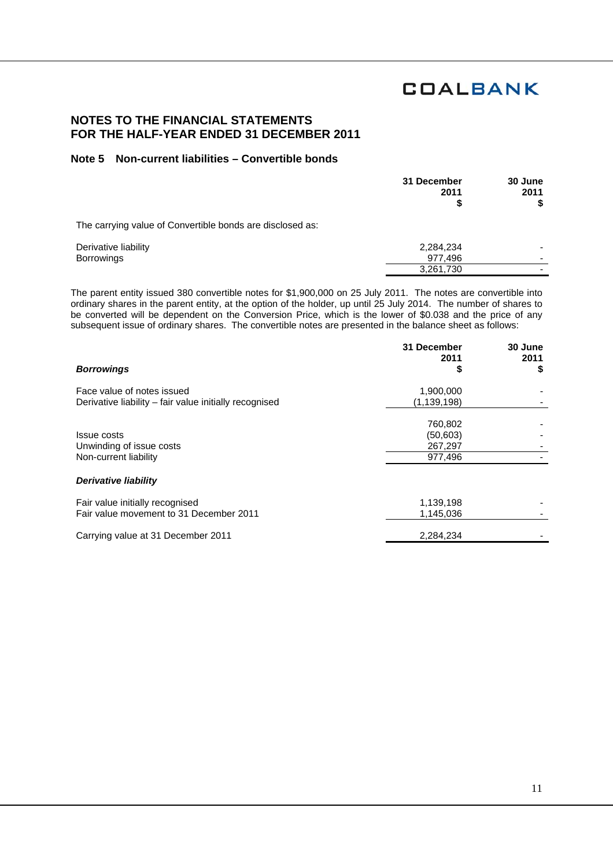### **NOTES TO THE FINANCIAL STATEMENTS FOR THE HALF-YEAR ENDED 31 DECEMBER 2011**

### **Note 5 Non-current liabilities – Convertible bonds**

|                                                           | 31 December<br>2011<br>S | 30 June<br>2011 |
|-----------------------------------------------------------|--------------------------|-----------------|
| The carrying value of Convertible bonds are disclosed as: |                          |                 |
| Derivative liability<br><b>Borrowings</b>                 | 2,284,234<br>977,496     |                 |
|                                                           | 3,261,730                |                 |

The parent entity issued 380 convertible notes for \$1,900,000 on 25 July 2011. The notes are convertible into ordinary shares in the parent entity, at the option of the holder, up until 25 July 2014. The number of shares to be converted will be dependent on the Conversion Price, which is the lower of \$0.038 and the price of any subsequent issue of ordinary shares. The convertible notes are presented in the balance sheet as follows:

|                                                        | 31 December<br>2011 | 30 June<br>2011 |
|--------------------------------------------------------|---------------------|-----------------|
| <b>Borrowings</b>                                      | S                   | \$              |
| Face value of notes issued                             | 1,900,000           |                 |
| Derivative liability – fair value initially recognised | (1, 139, 198)       |                 |
|                                                        | 760,802             |                 |
| Issue costs                                            | (50, 603)           |                 |
| Unwinding of issue costs                               | 267,297             |                 |
| Non-current liability                                  | 977,496             |                 |
| Derivative liability                                   |                     |                 |
| Fair value initially recognised                        | 1,139,198           |                 |
| Fair value movement to 31 December 2011                | 1,145,036           |                 |
| Carrying value at 31 December 2011                     | 2,284,234           |                 |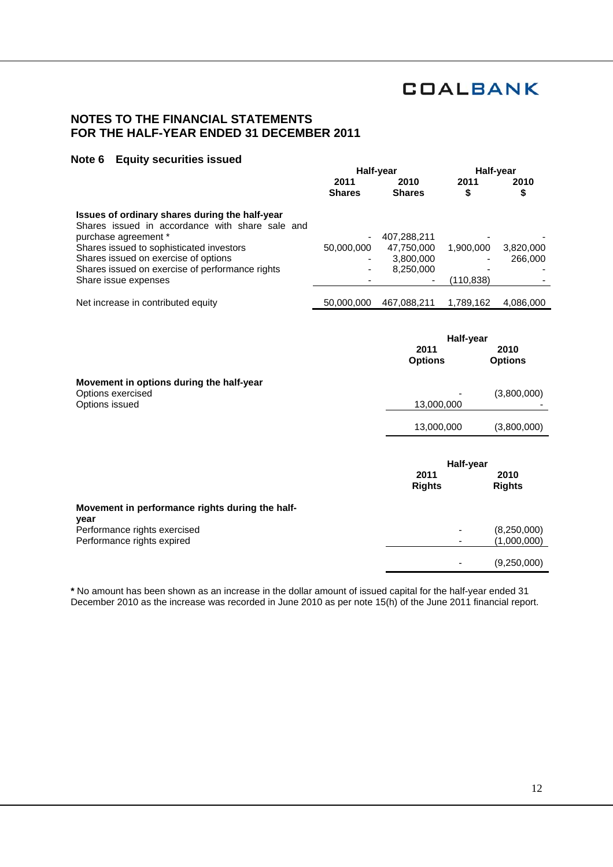-

(1,000,000)

- (9,250,000)

## **NOTES TO THE FINANCIAL STATEMENTS FOR THE HALF-YEAR ENDED 31 DECEMBER 2011**

#### **Note 6 Equity securities issued**

|                                                                                                                                                                       | Half-year             |                           | Half-year  |                        |
|-----------------------------------------------------------------------------------------------------------------------------------------------------------------------|-----------------------|---------------------------|------------|------------------------|
|                                                                                                                                                                       | 2011<br><b>Shares</b> | 2010<br><b>Shares</b>     | 2011<br>\$ | 2010<br>\$             |
| Issues of ordinary shares during the half-year<br>Shares issued in accordance with share sale and<br>purchase agreement *<br>Shares issued to sophisticated investors | 50,000,000            | 407,288,211<br>47,750,000 | 1,900,000  | 3,820,000              |
| Shares issued on exercise of options<br>Shares issued on exercise of performance rights<br>Share issue expenses                                                       |                       | 3,800,000<br>8,250,000    | (110, 838) | 266,000                |
| Net increase in contributed equity                                                                                                                                    | 50,000,000            | 467,088,211               | 1,789,162  | 4,086,000              |
|                                                                                                                                                                       |                       | 2011<br><b>Options</b>    | Half-year  | 2010<br><b>Options</b> |
| Movement in options during the half-year<br>Options exercised<br>Options issued                                                                                       |                       | 13,000,000                |            | (3,800,000)            |
|                                                                                                                                                                       |                       | 13,000,000                |            | (3,800,000)            |
|                                                                                                                                                                       |                       | 2011<br><b>Rights</b>     | Half-year  | 2010<br><b>Rights</b>  |
| Movement in performance rights during the half-<br>year<br>Performance rights exercised                                                                               |                       |                           |            | (8, 250, 000)          |

Performance rights expired

**\*** No amount has been shown as an increase in the dollar amount of issued capital for the half-year ended 31 December 2010 as the increase was recorded in June 2010 as per note 15(h) of the June 2011 financial report.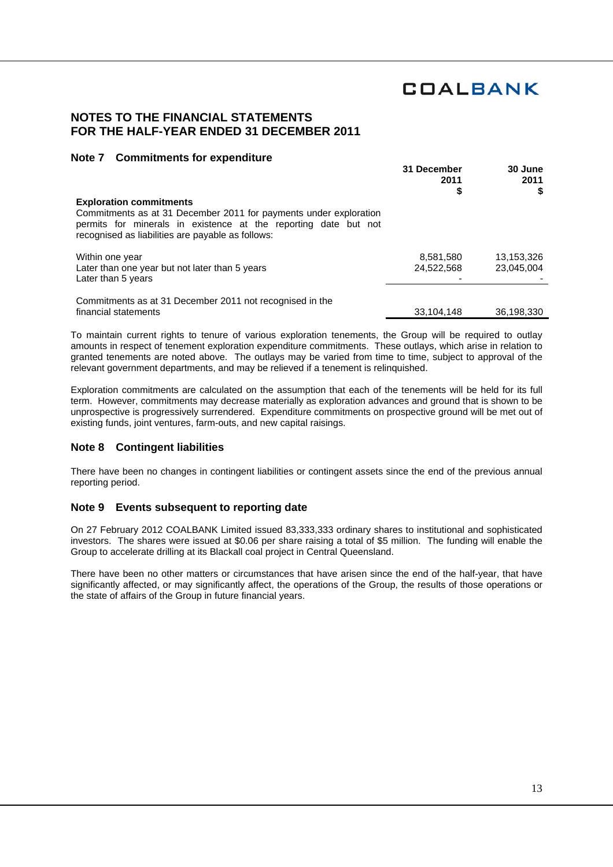### **NOTES TO THE FINANCIAL STATEMENTS FOR THE HALF-YEAR ENDED 31 DECEMBER 2011**

#### **Note 7 Commitments for expenditure**

|                                                                                                                                                                                                                             | 31 December<br>2011     | 30 June<br>2011          |
|-----------------------------------------------------------------------------------------------------------------------------------------------------------------------------------------------------------------------------|-------------------------|--------------------------|
| <b>Exploration commitments</b><br>Commitments as at 31 December 2011 for payments under exploration<br>permits for minerals in existence at the reporting date but not<br>recognised as liabilities are payable as follows: | \$                      | S                        |
| Within one year<br>Later than one year but not later than 5 years                                                                                                                                                           | 8,581,580<br>24,522,568 | 13,153,326<br>23,045,004 |
| Later than 5 years<br>Commitments as at 31 December 2011 not recognised in the<br>financial statements                                                                                                                      | 33,104,148              | 36,198,330               |

To maintain current rights to tenure of various exploration tenements, the Group will be required to outlay amounts in respect of tenement exploration expenditure commitments. These outlays, which arise in relation to granted tenements are noted above. The outlays may be varied from time to time, subject to approval of the relevant government departments, and may be relieved if a tenement is relinquished.

Exploration commitments are calculated on the assumption that each of the tenements will be held for its full term. However, commitments may decrease materially as exploration advances and ground that is shown to be unprospective is progressively surrendered. Expenditure commitments on prospective ground will be met out of existing funds, joint ventures, farm-outs, and new capital raisings.

#### **Note 8 Contingent liabilities**

There have been no changes in contingent liabilities or contingent assets since the end of the previous annual reporting period.

#### **Note 9 Events subsequent to reporting date**

On 27 February 2012 COALBANK Limited issued 83,333,333 ordinary shares to institutional and sophisticated investors. The shares were issued at \$0.06 per share raising a total of \$5 million. The funding will enable the Group to accelerate drilling at its Blackall coal project in Central Queensland.

There have been no other matters or circumstances that have arisen since the end of the half-year, that have significantly affected, or may significantly affect, the operations of the Group, the results of those operations or the state of affairs of the Group in future financial years.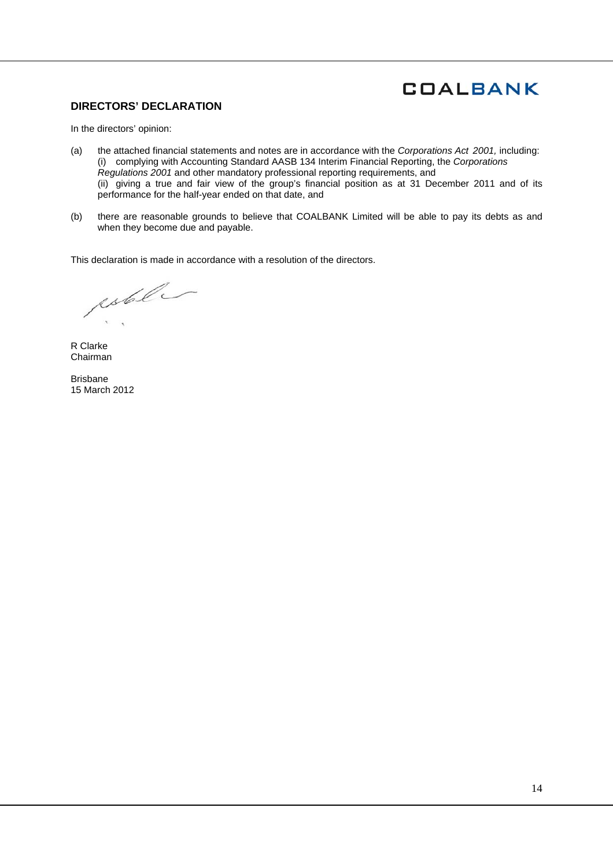#### **DIRECTORS' DECLARATION**

In the directors' opinion:

- (a) the attached financial statements and notes are in accordance with the *Corporations Act 2001,* including: (i) complying with Accounting Standard AASB 134 Interim Financial Reporting, the *Corporations Regulations 2001* and other mandatory professional reporting requirements, and (ii) giving a true and fair view of the group's financial position as at 31 December 2011 and of its performance for the half-year ended on that date, and
- (b) there are reasonable grounds to believe that COALBANK Limited will be able to pay its debts as and when they become due and payable.

This declaration is made in accordance with a resolution of the directors.

estel

R Clarke Chairman

Brisbane 15 March 2012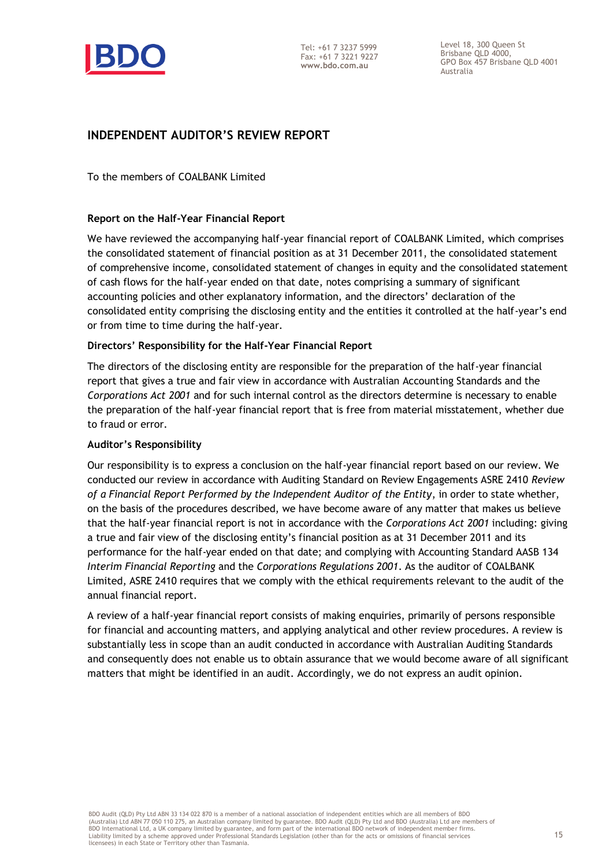

Level 18, 300 Queen St Brisbane QLD 4000, GPO Box 457 Brisbane QLD 4001 Australia

## **INDEPENDENT AUDITOR'S REVIEW REPORT**

To the members of COALBANK Limited

### **Report on the Half-Year Financial Report**

We have reviewed the accompanying half-year financial report of COALBANK Limited, which comprises the consolidated statement of financial position as at 31 December 2011, the consolidated statement of comprehensive income, consolidated statement of changes in equity and the consolidated statement of cash flows for the half-year ended on that date, notes comprising a summary of significant accounting policies and other explanatory information, and the directors' declaration of the consolidated entity comprising the disclosing entity and the entities it controlled at the half-year's end or from time to time during the half-year.

### **Directors' Responsibility for the Half-Year Financial Report**

The directors of the disclosing entity are responsible for the preparation of the half-year financial report that gives a true and fair view in accordance with Australian Accounting Standards and the *Corporations Act 2001* and for such internal control as the directors determine is necessary to enable the preparation of the half-year financial report that is free from material misstatement, whether due to fraud or error.

### **Auditor's Responsibility**

Our responsibility is to express a conclusion on the half-year financial report based on our review. We conducted our review in accordance with Auditing Standard on Review Engagements ASRE 2410 *Review of a Financial Report Performed by the Independent Auditor of the Entity*, in order to state whether, on the basis of the procedures described, we have become aware of any matter that makes us believe that the half-year financial report is not in accordance with the *Corporations Act 2001* including: giving a true and fair view of the disclosing entity's financial position as at 31 December 2011 and its performance for the half-year ended on that date; and complying with Accounting Standard AASB 134 *Interim Financial Reporting* and the *Corporations Regulations 2001*. As the auditor of COALBANK Limited, ASRE 2410 requires that we comply with the ethical requirements relevant to the audit of the annual financial report.

A review of a half-year financial report consists of making enquiries, primarily of persons responsible for financial and accounting matters, and applying analytical and other review procedures. A review is substantially less in scope than an audit conducted in accordance with Australian Auditing Standards and consequently does not enable us to obtain assurance that we would become aware of all significant matters that might be identified in an audit. Accordingly, we do not express an audit opinion.